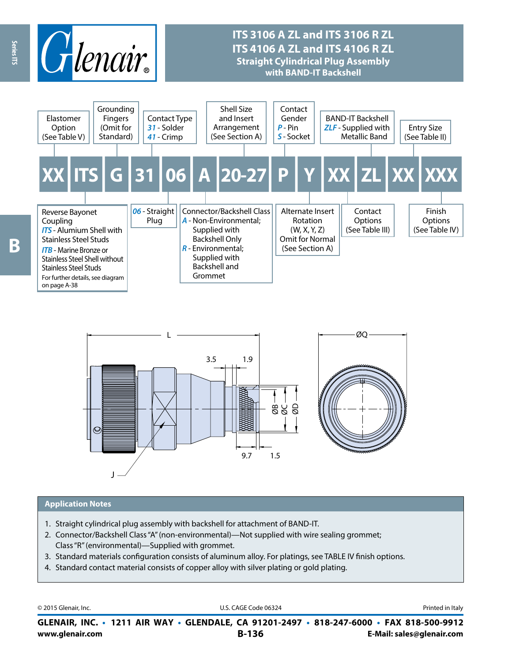

## **ITS 3106 A ZL and ITS 3106 R ZL ITS 4106 A ZL and ITS 4106 R ZL Straight Cylindrical Plug Assembly with BAND-IT Backshell**





#### **Application Notes**

- 1. Straight cylindrical plug assembly with backshell for attachment of BAND-IT.
- 2. Connector/Backshell Class "A" (non-environmental)—Not supplied with wire sealing grommet; Class "R" (environmental)—Supplied with grommet.
- 3. Standard materials configuration consists of aluminum alloy. For platings, see TABLE IV finish options.
- 4. Standard contact material consists of copper alloy with silver plating or gold plating.

| © 2015 Glenair, Inc. |
|----------------------|
|                      |

U.S. CAGE Code 06324 **Printed in Italy** 

**www.glenair.com B-136 E-Mail: sales@glenair.com GLENAIR, INC. • 1211 AIR WAY • GLENDALE, CA 91201-2497 • 818-247-6000 • FAX 818-500-9912**